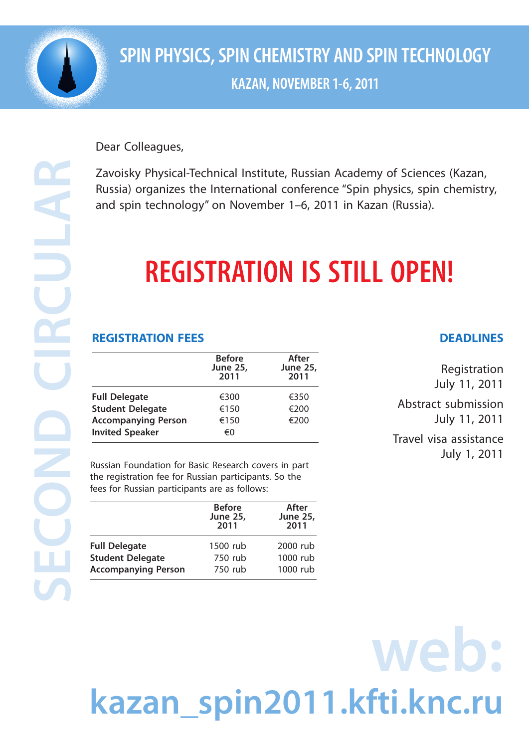

**SECOND CIRCULAR** 

S

### **SPIN PHYSICS, SPIN CHEMISTRY AND SPIN TECHNOLOGY KAZAN, NOVEMBER 1-6, 2011**

Dear Colleagues,

Zavoisky Physical-Technical Institute, Russian Academy of Sciences (Kazan, Russia) organizes the International conference "Spin physics, spin chemistry, and spin technology" on November 1–6, 2011 in Kazan (Russia).

## **REGISTRATION IS STILL OPEN!**

### **REGISTRATION FEES**

|                            | <b>Before</b><br><b>June 25,</b><br>2011 | After<br><b>June 25,</b><br>2011 |
|----------------------------|------------------------------------------|----------------------------------|
| <b>Full Delegate</b>       | €300                                     | €350                             |
| <b>Student Delegate</b>    | €150                                     | €200                             |
| <b>Accompanying Person</b> | €150                                     | €200                             |
| <b>Invited Speaker</b>     | €0                                       |                                  |

Russian Foundation for Basic Research covers in part the registration fee for Russian participants. So the fees for Russian participants are as follows:

|                            | <b>Before</b><br><b>June 25,</b><br>2011 | After<br><b>June 25,</b><br>2011 |
|----------------------------|------------------------------------------|----------------------------------|
| <b>Full Delegate</b>       | 1500 rub                                 | 2000 rub                         |
| <b>Student Delegate</b>    | 750 rub                                  | 1000 rub                         |
| <b>Accompanying Person</b> | 750 rub                                  | 1000 rub                         |

#### **DEADLINES**

Registration July 11, 2011

Abstract submission July 11, 2011

Travel visa assistance July 1, 2011

# **web: kazan\_spin2011.kfti.knc.ru**